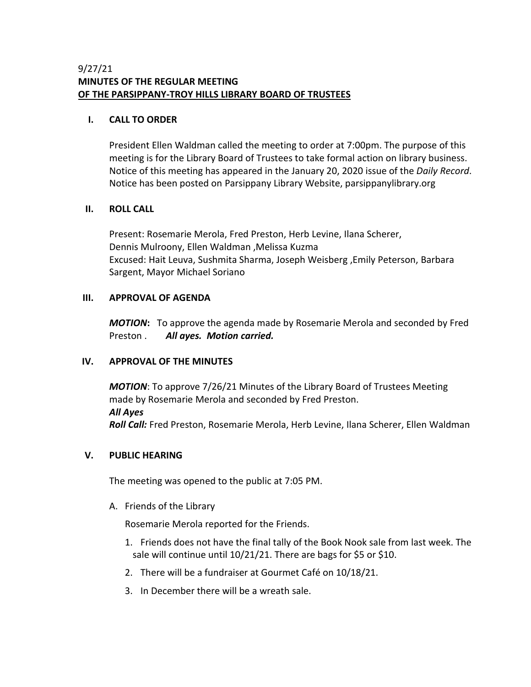## 9/27/21 **MINUTES OF THE REGULAR MEETING OF THE PARSIPPANY-TROY HILLS LIBRARY BOARD OF TRUSTEES**

### **I. CALL TO ORDER**

President Ellen Waldman called the meeting to order at 7:00pm. The purpose of this meeting is for the Library Board of Trustees to take formal action on library business. Notice of this meeting has appeared in the January 20, 2020 issue of the *Daily Record*. Notice has been posted on Parsippany Library Website, parsippanylibrary.org

### **II. ROLL CALL**

Present: Rosemarie Merola, Fred Preston, Herb Levine, Ilana Scherer, Dennis Mulroony, Ellen Waldman ,Melissa Kuzma Excused: Hait Leuva, Sushmita Sharma, Joseph Weisberg ,Emily Peterson, Barbara Sargent, Mayor Michael Soriano

## **III. APPROVAL OF AGENDA**

*MOTION***:** To approve the agenda made by Rosemarie Merola and seconded by Fred Preston . *All ayes. Motion carried.*

# **IV. APPROVAL OF THE MINUTES**

*MOTION*: To approve 7/26/21 Minutes of the Library Board of Trustees Meeting made by Rosemarie Merola and seconded by Fred Preston. *All Ayes Roll Call:* Fred Preston, Rosemarie Merola, Herb Levine, Ilana Scherer, Ellen Waldman

# **V. PUBLIC HEARING**

The meeting was opened to the public at 7:05 PM.

A. Friends of the Library

Rosemarie Merola reported for the Friends.

- 1. Friends does not have the final tally of the Book Nook sale from last week. The sale will continue until 10/21/21. There are bags for \$5 or \$10.
- 2. There will be a fundraiser at Gourmet Café on 10/18/21.
- 3. In December there will be a wreath sale.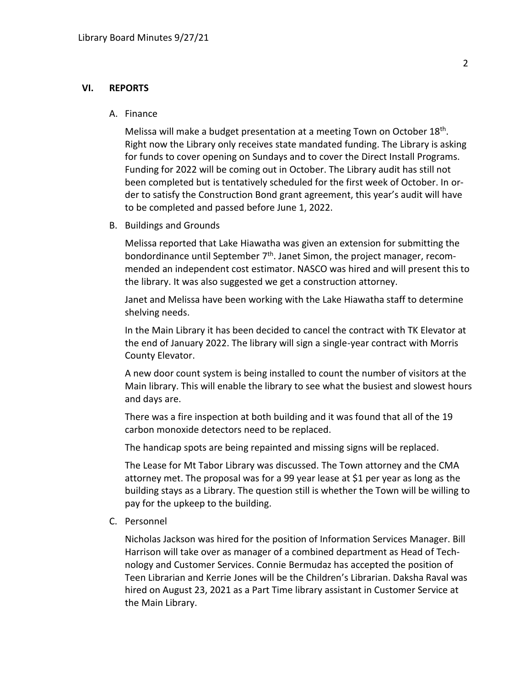#### **VI. REPORTS**

#### A. Finance

Melissa will make a budget presentation at a meeting Town on October 18<sup>th</sup>. Right now the Library only receives state mandated funding. The Library is asking for funds to cover opening on Sundays and to cover the Direct Install Programs. Funding for 2022 will be coming out in October. The Library audit has still not been completed but is tentatively scheduled for the first week of October. In order to satisfy the Construction Bond grant agreement, this year's audit will have to be completed and passed before June 1, 2022.

B. Buildings and Grounds

Melissa reported that Lake Hiawatha was given an extension for submitting the bondordinance until September  $7<sup>th</sup>$ . Janet Simon, the project manager, recommended an independent cost estimator. NASCO was hired and will present this to the library. It was also suggested we get a construction attorney.

Janet and Melissa have been working with the Lake Hiawatha staff to determine shelving needs.

In the Main Library it has been decided to cancel the contract with TK Elevator at the end of January 2022. The library will sign a single-year contract with Morris County Elevator.

A new door count system is being installed to count the number of visitors at the Main library. This will enable the library to see what the busiest and slowest hours and days are.

There was a fire inspection at both building and it was found that all of the 19 carbon monoxide detectors need to be replaced.

The handicap spots are being repainted and missing signs will be replaced.

The Lease for Mt Tabor Library was discussed. The Town attorney and the CMA attorney met. The proposal was for a 99 year lease at \$1 per year as long as the building stays as a Library. The question still is whether the Town will be willing to pay for the upkeep to the building.

C. Personnel

Nicholas Jackson was hired for the position of Information Services Manager. Bill Harrison will take over as manager of a combined department as Head of Technology and Customer Services. Connie Bermudaz has accepted the position of Teen Librarian and Kerrie Jones will be the Children's Librarian. Daksha Raval was hired on August 23, 2021 as a Part Time library assistant in Customer Service at the Main Library.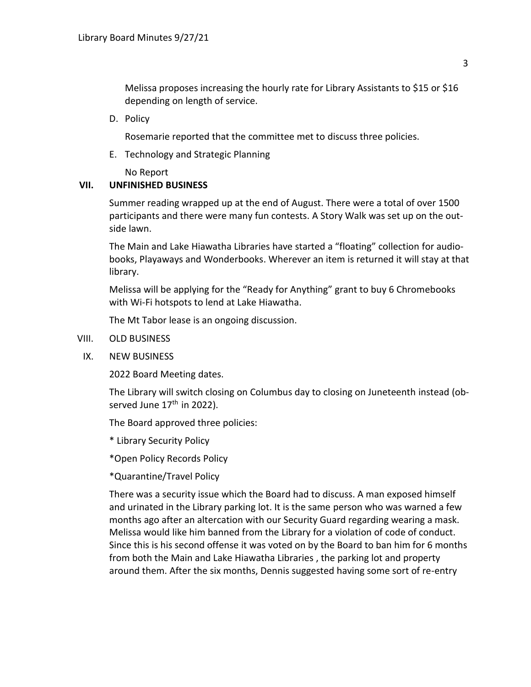Melissa proposes increasing the hourly rate for Library Assistants to \$15 or \$16 depending on length of service.

D. Policy

Rosemarie reported that the committee met to discuss three policies.

E. Technology and Strategic Planning

No Report

## **VII. UNFINISHED BUSINESS**

Summer reading wrapped up at the end of August. There were a total of over 1500 participants and there were many fun contests. A Story Walk was set up on the outside lawn.

The Main and Lake Hiawatha Libraries have started a "floating" collection for audiobooks, Playaways and Wonderbooks. Wherever an item is returned it will stay at that library.

Melissa will be applying for the "Ready for Anything" grant to buy 6 Chromebooks with Wi-Fi hotspots to lend at Lake Hiawatha.

The Mt Tabor lease is an ongoing discussion.

- VIII. OLD BUSINESS
- IX. NEW BUSINESS

2022 Board Meeting dates.

The Library will switch closing on Columbus day to closing on Juneteenth instead (observed June  $17<sup>th</sup>$  in 2022).

The Board approved three policies:

\* Library Security Policy

\*Open Policy Records Policy

\*Quarantine/Travel Policy

There was a security issue which the Board had to discuss. A man exposed himself and urinated in the Library parking lot. It is the same person who was warned a few months ago after an altercation with our Security Guard regarding wearing a mask. Melissa would like him banned from the Library for a violation of code of conduct. Since this is his second offense it was voted on by the Board to ban him for 6 months from both the Main and Lake Hiawatha Libraries , the parking lot and property around them. After the six months, Dennis suggested having some sort of re-entry